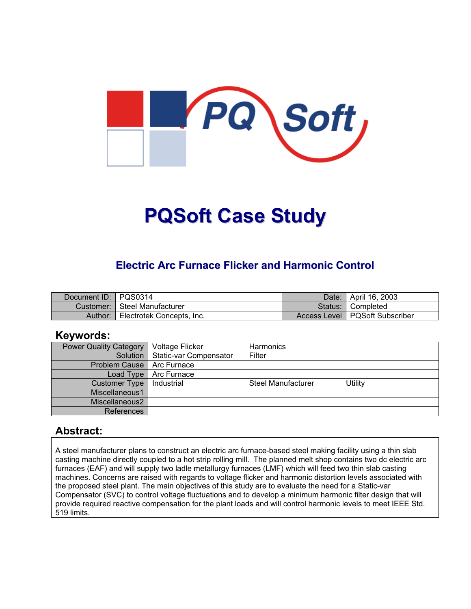

# **PQSoft Case Study**

# **Electric Arc Furnace Flicker and Harmonic Control**

| Document ID: PQS0314 |                                | Date: | <sup>1</sup> April 16, 2003      |
|----------------------|--------------------------------|-------|----------------------------------|
|                      | Customer:   Steel Manufacturer |       | Status: Completed                |
| Author:              | Electrotek Concepts, Inc.      |       | Access Level   PQSoft Subscriber |

#### **Keywords:**

| <b>Power Quality Category</b> | Voltage Flicker        | Harmonics                 |         |
|-------------------------------|------------------------|---------------------------|---------|
| Solution                      | Static-var Compensator | Filter                    |         |
| <b>Problem Cause</b>          | Arc Furnace            |                           |         |
| Load Type                     | Arc Furnace            |                           |         |
| <b>Customer Type</b>          | Industrial             | <b>Steel Manufacturer</b> | Utility |
| Miscellaneous1                |                        |                           |         |
| Miscellaneous2                |                        |                           |         |
| References                    |                        |                           |         |

### **Abstract:**

A steel manufacturer plans to construct an electric arc furnace-based steel making facility using a thin slab casting machine directly coupled to a hot strip rolling mill. The planned melt shop contains two dc electric arc furnaces (EAF) and will supply two ladle metallurgy furnaces (LMF) which will feed two thin slab casting machines. Concerns are raised with regards to voltage flicker and harmonic distortion levels associated with the proposed steel plant. The main objectives of this study are to evaluate the need for a Static-var Compensator (SVC) to control voltage fluctuations and to develop a minimum harmonic filter design that will provide required reactive compensation for the plant loads and will control harmonic levels to meet IEEE Std. 519 limits.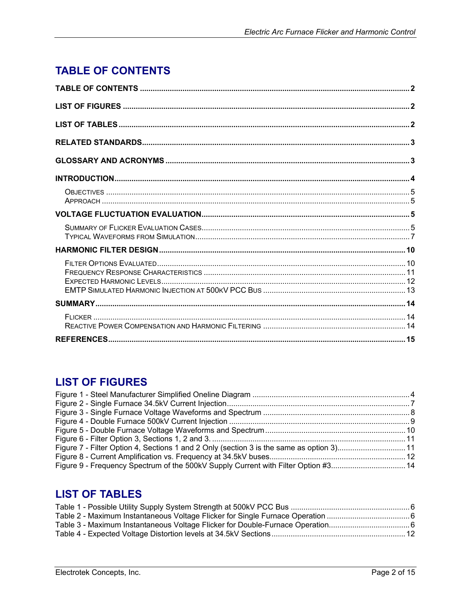# <span id="page-1-0"></span>**TABLE OF CONTENTS**

# **LIST OF FIGURES**

| Figure 7 - Filter Option 4, Sections 1 and 2 Only (section 3 is the same as option 3)11 |  |
|-----------------------------------------------------------------------------------------|--|
|                                                                                         |  |
| Figure 9 - Frequency Spectrum of the 500kV Supply Current with Filter Option #314       |  |

# **LIST OF TABLES**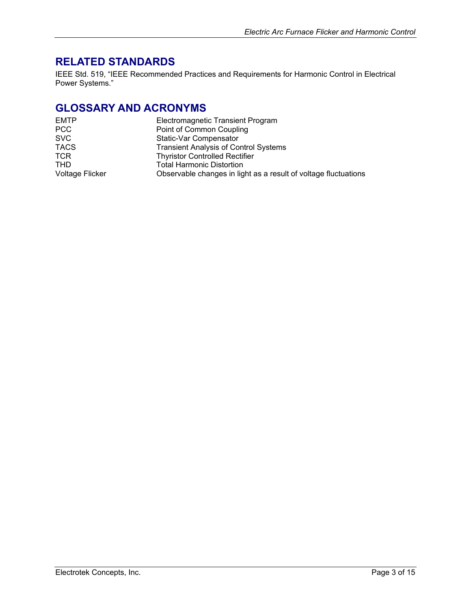# <span id="page-2-0"></span>**RELATED STANDARDS**

IEEE Std. 519, "IEEE Recommended Practices and Requirements for Harmonic Control in Electrical Power Systems."

# **GLOSSARY AND ACRONYMS**

| <b>Electromagnetic Transient Program</b>                        |
|-----------------------------------------------------------------|
| Point of Common Coupling                                        |
| Static-Var Compensator                                          |
| <b>Transient Analysis of Control Systems</b>                    |
| <b>Thyristor Controlled Rectifier</b>                           |
| <b>Total Harmonic Distortion</b>                                |
| Observable changes in light as a result of voltage fluctuations |
|                                                                 |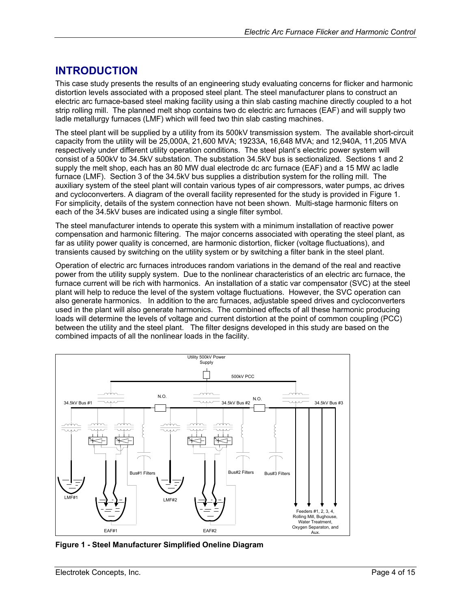# <span id="page-3-0"></span>**INTRODUCTION**

This case study presents the results of an engineering study evaluating concerns for flicker and harmonic distortion levels associated with a proposed steel plant. The steel manufacturer plans to construct an electric arc furnace-based steel making facility using a thin slab casting machine directly coupled to a hot strip rolling mill. The planned melt shop contains two dc electric arc furnaces (EAF) and will supply two ladle metallurgy furnaces (LMF) which will feed two thin slab casting machines.

The steel plant will be supplied by a utility from its 500kV transmission system. The available short-circuit capacity from the utility will be 25,000A, 21,600 MVA; 19233A, 16,648 MVA; and 12,940A, 11,205 MVA respectively under different utility operation conditions. The steel plant's electric power system will consist of a 500kV to 34.5kV substation. The substation 34.5kV bus is sectionalized. Sections 1 and 2 supply the melt shop, each has an 80 MW dual electrode dc arc furnace (EAF) and a 15 MW ac ladle furnace (LMF). Section 3 of the 34.5kV bus supplies a distribution system for the rolling mill. The auxiliary system of the steel plant will contain various types of air compressors, water pumps, ac drives and cycloconverters. A diagram of the overall facility represented for the study is provided in [Figure](#page-3-1) 1. For simplicity, details of the system connection have not been shown. Multi-stage harmonic filters on each of the 34.5kV buses are indicated using a single filter symbol.

The steel manufacturer intends to operate this system with a minimum installation of reactive power compensation and harmonic filtering. The major concerns associated with operating the steel plant, as far as utility power quality is concerned, are harmonic distortion, flicker (voltage fluctuations), and transients caused by switching on the utility system or by switching a filter bank in the steel plant.

Operation of electric arc furnaces introduces random variations in the demand of the real and reactive power from the utility supply system. Due to the nonlinear characteristics of an electric arc furnace, the furnace current will be rich with harmonics. An installation of a static var compensator (SVC) at the steel plant will help to reduce the level of the system voltage fluctuations. However, the SVC operation can also generate harmonics. In addition to the arc furnaces, adjustable speed drives and cycloconverters used in the plant will also generate harmonics. The combined effects of all these harmonic producing loads will determine the levels of voltage and current distortion at the point of common coupling (PCC) between the utility and the steel plant. The filter designs developed in this study are based on the combined impacts of all the nonlinear loads in the facility.

<span id="page-3-1"></span>

**Figure 1 - Steel Manufacturer Simplified Oneline Diagram**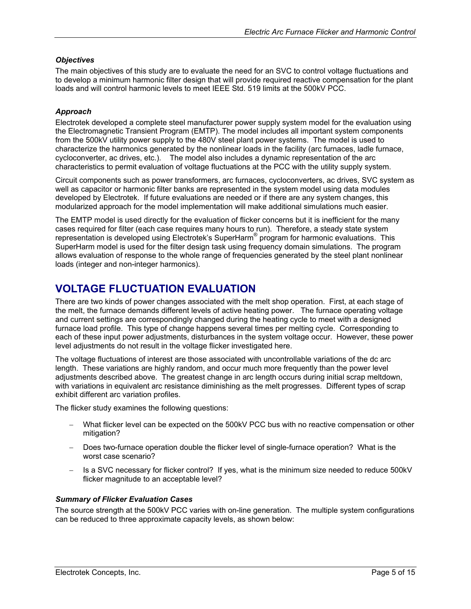#### <span id="page-4-0"></span>*Objectives*

The main objectives of this study are to evaluate the need for an SVC to control voltage fluctuations and to develop a minimum harmonic filter design that will provide required reactive compensation for the plant loads and will control harmonic levels to meet IEEE Std. 519 limits at the 500kV PCC.

#### *Approach*

Electrotek developed a complete steel manufacturer power supply system model for the evaluation using the Electromagnetic Transient Program (EMTP). The model includes all important system components from the 500kV utility power supply to the 480V steel plant power systems. The model is used to characterize the harmonics generated by the nonlinear loads in the facility (arc furnaces, ladle furnace, cycloconverter, ac drives, etc.). The model also includes a dynamic representation of the arc characteristics to permit evaluation of voltage fluctuations at the PCC with the utility supply system.

Circuit components such as power transformers, arc furnaces, cycloconverters, ac drives, SVC system as well as capacitor or harmonic filter banks are represented in the system model using data modules developed by Electrotek. If future evaluations are needed or if there are any system changes, this modularized approach for the model implementation will make additional simulations much easier.

The EMTP model is used directly for the evaluation of flicker concerns but it is inefficient for the many cases required for filter (each case requires many hours to run). Therefore, a steady state system representation is developed using Electrotek's SuperHarm® program for harmonic evaluations. This SuperHarm model is used for the filter design task using frequency domain simulations. The program allows evaluation of response to the whole range of frequencies generated by the steel plant nonlinear loads (integer and non-integer harmonics).

# **VOLTAGE FLUCTUATION EVALUATION**

There are two kinds of power changes associated with the melt shop operation. First, at each stage of the melt, the furnace demands different levels of active heating power. The furnace operating voltage and current settings are correspondingly changed during the heating cycle to meet with a designed furnace load profile. This type of change happens several times per melting cycle. Corresponding to each of these input power adjustments, disturbances in the system voltage occur. However, these power level adjustments do not result in the voltage flicker investigated here.

The voltage fluctuations of interest are those associated with uncontrollable variations of the dc arc length. These variations are highly random, and occur much more frequently than the power level adjustments described above. The greatest change in arc length occurs during initial scrap meltdown, with variations in equivalent arc resistance diminishing as the melt progresses. Different types of scrap exhibit different arc variation profiles.

The flicker study examines the following questions:

- − What flicker level can be expected on the 500kV PCC bus with no reactive compensation or other mitigation?
- − Does two-furnace operation double the flicker level of single-furnace operation? What is the worst case scenario?
- − Is a SVC necessary for flicker control? If yes, what is the minimum size needed to reduce 500kV flicker magnitude to an acceptable level?

#### *Summary of Flicker Evaluation Cases*

The source strength at the 500kV PCC varies with on-line generation. The multiple system configurations can be reduced to three approximate capacity levels, as shown below: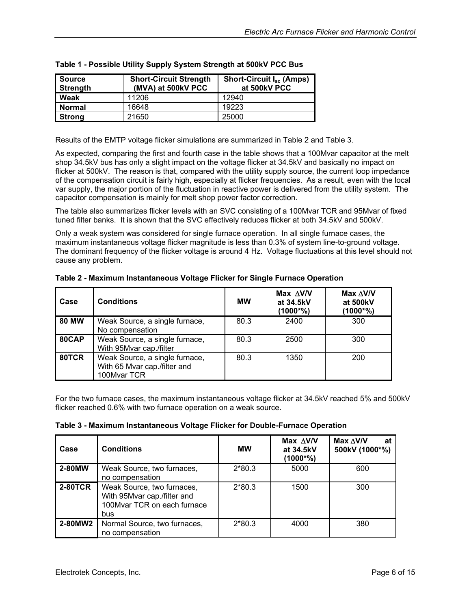| <b>Source</b><br><b>Strength</b> | <b>Short-Circuit Strength</b><br>(MVA) at 500kV PCC | Short-Circuit I <sub>sc</sub> (Amps)<br>at 500kV PCC |
|----------------------------------|-----------------------------------------------------|------------------------------------------------------|
| Weak                             | 11206                                               | 12940                                                |
| <b>Normal</b>                    | 16648                                               | 19223                                                |
| <b>Strong</b>                    | 21650                                               | 25000                                                |

<span id="page-5-0"></span>

|  |  | Table 1 - Possible Utility Supply System Strength at 500kV PCC Bus |  |
|--|--|--------------------------------------------------------------------|--|
|  |  |                                                                    |  |

Results of the EMTP voltage flicker simulations are summarized in [Table](#page-5-1) 2 and [Table 3.](#page-5-2)

As expected, comparing the first and fourth case in the table shows that a 100Mvar capacitor at the melt shop 34.5kV bus has only a slight impact on the voltage flicker at 34.5kV and basically no impact on flicker at 500kV. The reason is that, compared with the utility supply source, the current loop impedance of the compensation circuit is fairly high, especially at flicker frequencies. As a result, even with the local var supply, the major portion of the fluctuation in reactive power is delivered from the utility system. The capacitor compensation is mainly for melt shop power factor correction.

The table also summarizes flicker levels with an SVC consisting of a 100Mvar TCR and 95Mvar of fixed tuned filter banks. It is shown that the SVC effectively reduces flicker at both 34.5kV and 500kV.

Only a weak system was considered for single furnace operation. In all single furnace cases, the maximum instantaneous voltage flicker magnitude is less than 0.3% of system line-to-ground voltage. The dominant frequency of the flicker voltage is around 4 Hz. Voltage fluctuations at this level should not cause any problem.

| Case         | <b>Conditions</b>                                                             | МW   | Max $\triangle$ V/V<br>at 34.5kV<br>$(1000^{\ast}\%)$ | $Max \triangle V/V$<br>at 500kV<br>(1000*%) |
|--------------|-------------------------------------------------------------------------------|------|-------------------------------------------------------|---------------------------------------------|
| <b>80 MW</b> | Weak Source, a single furnace,<br>No compensation                             | 80.3 | 2400                                                  | 300                                         |
| 80CAP        | Weak Source, a single furnace,<br>With 95Mvar cap./filter                     | 80.3 | 2500                                                  | 300                                         |
| 80TCR        | Weak Source, a single furnace,<br>With 65 Mvar cap./filter and<br>100Mvar TCR | 80.3 | 1350                                                  | 200                                         |

<span id="page-5-1"></span>**Table 2 - Maximum Instantaneous Voltage Flicker for Single Furnace Operation** 

For the two furnace cases, the maximum instantaneous voltage flicker at 34.5kV reached 5% and 500kV flicker reached 0.6% with two furnace operation on a weak source.

<span id="page-5-2"></span>

|  |  |  |  |  | Table 3 - Maximum Instantaneous Voltage Flicker for Double-Furnace Operation |  |
|--|--|--|--|--|------------------------------------------------------------------------------|--|
|--|--|--|--|--|------------------------------------------------------------------------------|--|

| Case           | <b>Conditions</b>                                                                               | <b>MW</b> | Max $\Delta$ V/V<br>at 34.5kV<br>(1000*%) | Max $\Delta$ V/V<br>at<br>500kV (1000*%) |
|----------------|-------------------------------------------------------------------------------------------------|-----------|-------------------------------------------|------------------------------------------|
| 2-80MW         | Weak Source, two furnaces,<br>no compensation                                                   | $2*80.3$  | 5000                                      | 600                                      |
| <b>2-80TCR</b> | Weak Source, two furnaces,<br>With 95Mvar cap./filter and<br>100Mvar TCR on each furnace<br>bus | $2*80.3$  | 1500                                      | 300                                      |
| 2-80MW2        | Normal Source, two furnaces,<br>no compensation                                                 | $2*80.3$  | 4000                                      | 380                                      |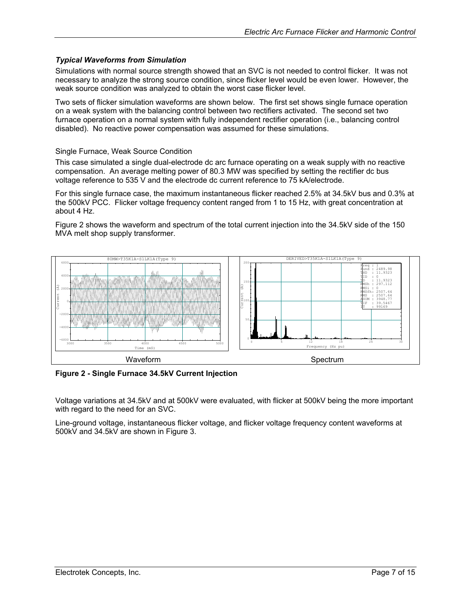#### <span id="page-6-0"></span>*Typical Waveforms from Simulation*

Simulations with normal source strength showed that an SVC is not needed to control flicker. It was not necessary to analyze the strong source condition, since flicker level would be even lower. However, the weak source condition was analyzed to obtain the worst case flicker level.

Two sets of flicker simulation waveforms are shown below. The first set shows single furnace operation on a weak system with the balancing control between two rectifiers activated. The second set two furnace operation on a normal system with fully independent rectifier operation (i.e., balancing control disabled). No reactive power compensation was assumed for these simulations.

Single Furnace, Weak Source Condition

This case simulated a single dual-electrode dc arc furnace operating on a weak supply with no reactive compensation. An average melting power of 80.3 MW was specified by setting the rectifier dc bus voltage reference to 535 V and the electrode dc current reference to 75 kA/electrode.

For this single furnace case, the maximum instantaneous flicker reached 2.5% at 34.5kV bus and 0.3% at the 500kV PCC. Flicker voltage frequency content ranged from 1 to 15 Hz, with great concentration at about 4 Hz.

[Figure](#page-6-1) 2 shows the waveform and spectrum of the total current injection into the 34.5kV side of the 150 MVA melt shop supply transformer.



<span id="page-6-1"></span>**Figure 2 - Single Furnace 34.5kV Current Injection** 

Voltage variations at 34.5kV and at 500kV were evaluated, with flicker at 500kV being the more important with regard to the need for an SVC.

Line-ground voltage, instantaneous flicker voltage, and flicker voltage frequency content waveforms at 500kV and 34.5kV are shown in [Figure](#page-7-1) 3.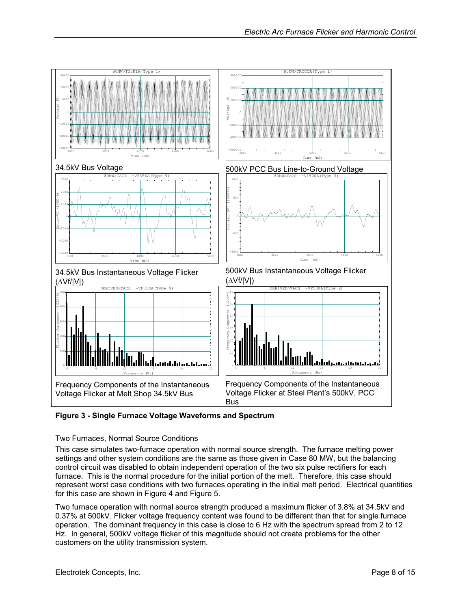<span id="page-7-0"></span>

<span id="page-7-1"></span>**Figure 3 - Single Furnace Voltage Waveforms and Spectrum** 

#### Two Furnaces, Normal Source Conditions

This case simulates two-furnace operation with normal source strength. The furnace melting power settings and other system conditions are the same as those given in Case 80 MW, but the balancing control circuit was disabled to obtain independent operation of the two six pulse rectifiers for each furnace. This is the normal procedure for the initial portion of the melt. Therefore, this case should represent worst case conditions with two furnaces operating in the initial melt period. Electrical quantities for this case are shown in [Figure](#page-8-1) 4 and [Figure](#page-9-1) 5.

Two furnace operation with normal source strength produced a maximum flicker of 3.8% at 34.5kV and 0.37% at 500kV. Flicker voltage frequency content was found to be different than that for single furnace operation. The dominant frequency in this case is close to 6 Hz with the spectrum spread from 2 to 12 Hz. In general, 500kV voltage flicker of this magnitude should not create problems for the other customers on the utility transmission system.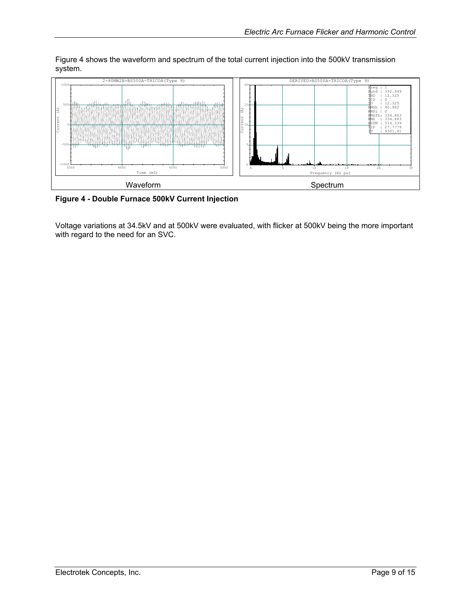<span id="page-8-0"></span>[Figure](#page-8-1) 4 shows the waveform and spectrum of the total current injection into the 500kV transmission system.



<span id="page-8-1"></span>**Figure 4 - Double Furnace 500kV Current Injection**

Voltage variations at 34.5kV and at 500kV were evaluated, with flicker at 500kV being the more important with regard to the need for an SVC.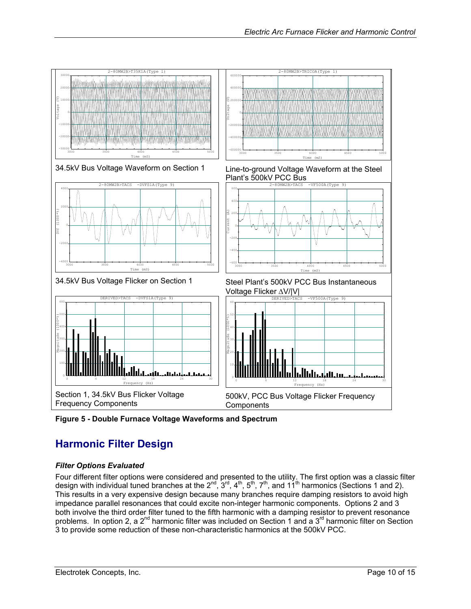<span id="page-9-0"></span>

<span id="page-9-1"></span>**Figure 5 - Double Furnace Voltage Waveforms and Spectrum** 

# **Harmonic Filter Design**

#### *Filter Options Evaluated*

Four different filter options were considered and presented to the utility. The first option was a classic filter design with individual tuned branches at the 2<sup>nd</sup>, 3<sup>rd</sup>, 4<sup>th</sup>, 5<sup>th</sup>, 7<sup>th</sup>, and 11<sup>th</sup> harmonics (Sections 1 and 2). This results in a very expensive design because many branches require damping resistors to avoid high impedance parallel resonances that could excite non-integer harmonic components. Options 2 and 3 both involve the third order filter tuned to the fifth harmonic with a damping resistor to prevent resonance problems. In option 2, a 2<sup>nd</sup> harmonic filter was included on Section 1 and a 3<sup>rd</sup> harmonic filter on Section 3 to provide some reduction of these non-characteristic harmonics at the 500kV PCC.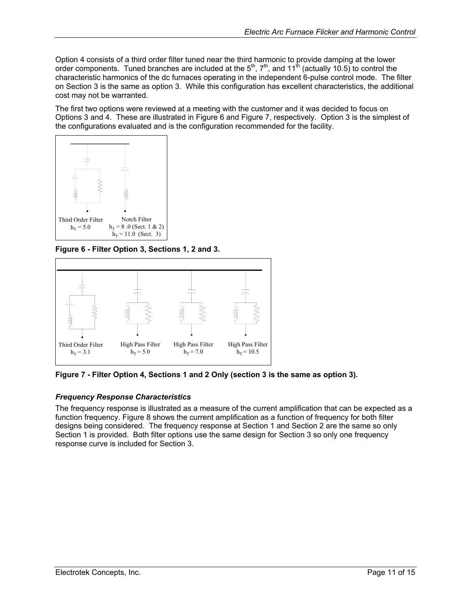<span id="page-10-0"></span>Option 4 consists of a third order filter tuned near the third harmonic to provide damping at the lower order components. Tuned branches are included at the  $5<sup>th</sup>$ ,  $7<sup>th</sup>$ , and  $11<sup>th</sup>$  (actually  $10.5$ ) to control the characteristic harmonics of the dc furnaces operating in the independent 6-pulse control mode. The filter on Section 3 is the same as option 3. While this configuration has excellent characteristics, the additional cost may not be warranted.

The first two options were reviewed at a meeting with the customer and it was decided to focus on Options 3 and 4. These are illustrated in [Figure](#page-10-2) 6 and Figure 7, respectively. Option 3 is the simplest of the configurations evaluated and is the configuration recommended for the facility.



<span id="page-10-1"></span>**Figure 6 - Filter Option 3, Sections 1, 2 and 3.** 

<span id="page-10-2"></span>

**Figure 7 - Filter Option 4, Sections 1 and 2 Only (section 3 is the same as option 3).** 

#### *Frequency Response Characteristics*

The frequency response is illustrated as a measure of the current amplification that can be expected as a function frequency. [Figure 8](#page-11-1) shows the current amplification as a function of frequency for both filter designs being considered. The frequency response at Section 1 and Section 2 are the same so only Section 1 is provided. Both filter options use the same design for Section 3 so only one frequency response curve is included for Section 3.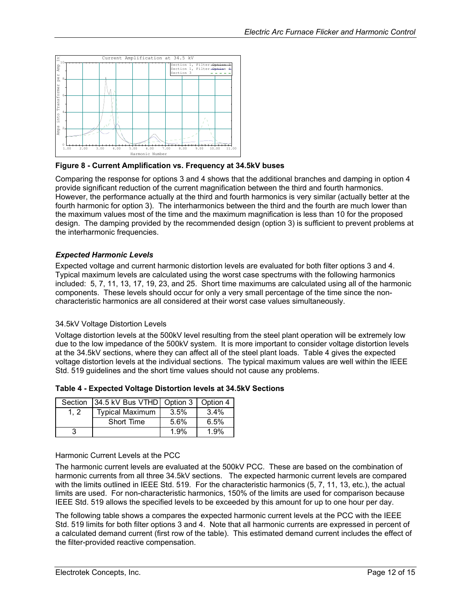<span id="page-11-1"></span><span id="page-11-0"></span>

**Figure 8 - Current Amplification vs. Frequency at 34.5kV buses**

Comparing the response for options 3 and 4 shows that the additional branches and damping in option 4 provide significant reduction of the current magnification between the third and fourth harmonics. However, the performance actually at the third and fourth harmonics is very similar (actually better at the fourth harmonic for option 3). The interharmonics between the third and the fourth are much lower than the maximum values most of the time and the maximum magnification is less than 10 for the proposed design. The damping provided by the recommended design (option 3) is sufficient to prevent problems at the interharmonic frequencies.

#### *Expected Harmonic Levels*

Expected voltage and current harmonic distortion levels are evaluated for both filter options 3 and 4. Typical maximum levels are calculated using the worst case spectrums with the following harmonics included: 5, 7, 11, 13, 17, 19, 23, and 25. Short time maximums are calculated using all of the harmonic components. These levels should occur for only a very small percentage of the time since the noncharacteristic harmonics are all considered at their worst case values simultaneously.

#### 34.5kV Voltage Distortion Levels

Voltage distortion levels at the 500kV level resulting from the steel plant operation will be extremely low due to the low impedance of the 500kV system. It is more important to consider voltage distortion levels at the 34.5kV sections, where they can affect all of the steel plant loads. [Table 4](#page-11-2) gives the expected voltage distortion levels at the individual sections. The typical maximum values are well within the IEEE Std. 519 guidelines and the short time values should not cause any problems.

<span id="page-11-2"></span>

| Table 4 - Expected Voltage Distortion levels at 34.5kV Sections |  |
|-----------------------------------------------------------------|--|
|-----------------------------------------------------------------|--|

|     | Section 34.5 kV Bus VTHD   Option 3   Option 4 |      |         |
|-----|------------------------------------------------|------|---------|
| 1.2 | <b>Typical Maximum</b>                         | 3.5% | $3.4\%$ |
|     | Short Time                                     | 5.6% | 6.5%    |
|     |                                                | 1.9% | 1.9%    |

#### Harmonic Current Levels at the PCC

The harmonic current levels are evaluated at the 500kV PCC. These are based on the combination of harmonic currents from all three 34.5kV sections. The expected harmonic current levels are compared with the limits outlined in IEEE Std. 519. For the characteristic harmonics (5, 7, 11, 13, etc.), the actual limits are used. For non-characteristic harmonics, 150% of the limits are used for comparison because IEEE Std. 519 allows the specified levels to be exceeded by this amount for up to one hour per day.

[The following table shows a](#page-12-1) compares the expected harmonic current levels at the PCC with the IEEE Std. 519 limits for both filter options 3 and 4. Note that all harmonic currents are expressed in percent of a calculated demand current (first row of the table). This estimated demand current includes the effect of the filter-provided reactive compensation.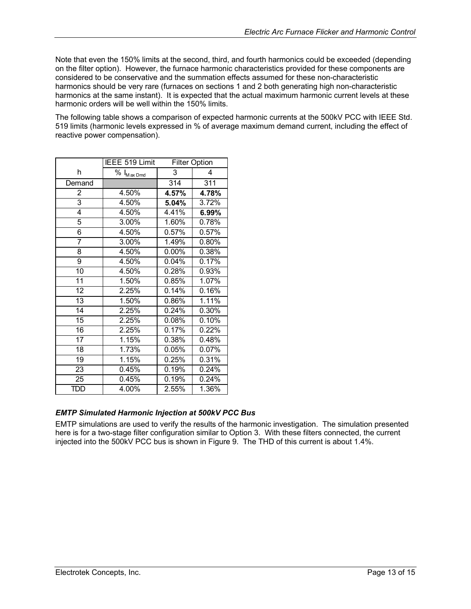<span id="page-12-0"></span>Note that even the 150% limits at the second, third, and fourth harmonics could be exceeded (depending on the filter option). However, the furnace harmonic characteristics provided for these components are considered to be conservative and the summation effects assumed for these non-characteristic harmonics should be very rare (furnaces on sections 1 and 2 both generating high non-characteristic harmonics at the same instant). It is expected that the actual maximum harmonic current levels at these harmonic orders will be well within the 150% limits.

<span id="page-12-1"></span>The following table shows a comparison of expected harmonic currents at the 500kV PCC with IEEE Std. 519 limits (harmonic levels expressed in % of average maximum demand current, including the effect of reactive power compensation).

|                 | IEEE 519 Limit               | <b>Filter Option</b> |                  |
|-----------------|------------------------------|----------------------|------------------|
| h               | $% I_{Max\,D\underline{md}}$ | 3                    | 4                |
| Demand          |                              | $\overline{314}$     | $\overline{311}$ |
| $\overline{2}$  | 4.50%                        | 4.57%                | 4.78%            |
| $\overline{3}$  | 4.50%                        | 5.04%                | 3.72%            |
| $\overline{4}$  | 4.50%                        | 4.41%                | 6.99%            |
| 5               | 3.00%                        | 1.60%                | 0.78%            |
| 6               | 4.50%                        | 0.57%                | 0.57%            |
| 7               | 3.00%                        | 1.49%                | 0.80%            |
| 8               | 4.50%                        | 0.00%                | 0.38%            |
| 9               | 4.50%                        | 0.04%                | 0.17%            |
| $\overline{10}$ | 4.50%                        | 0.28%                | 0.93%            |
| $\overline{11}$ | 1.50%                        | 0.85%                | 1.07%            |
| $\overline{12}$ | 2.25%                        | 0.14%                | 0.16%            |
| $\overline{13}$ | 1.50%                        | 0.86%                | 1.11%            |
| 14              | 2.25%                        | 0.24%                | 0.30%            |
| $\overline{15}$ | 2.25%                        | 0.08%                | 0.10%            |
| 16              | 2.25%                        | 0.17%                | 0.22%            |
| 17              | 1.15%                        | 0.38%                | 0.48%            |
| 18              | $\overline{1.73\%}$          | 0.05%                | 0.07%            |
| 19              | 1.15%                        | 0.25%                | 0.31%            |
| 23              | 0.45%                        | 0.19%                | 0.24%            |
| $\overline{25}$ | 0.45%                        | 0.19%                | 0.24%            |
| TDD             | 4.00%                        | 2.55%                | 1.36%            |

#### *EMTP Simulated Harmonic Injection at 500kV PCC Bus*

EMTP simulations are used to verify the results of the harmonic investigation. The simulation presented here is for a two-stage filter configuration similar to Option 3. With these filters connected, the current injected into the 500kV PCC bus is shown in [Figure 9.](#page-13-1) The THD of this current is about 1.4%.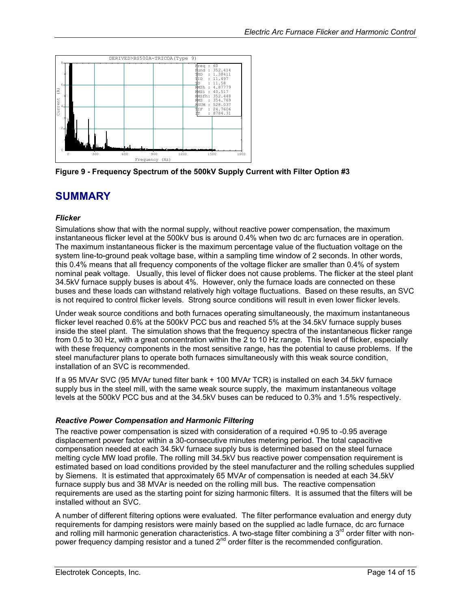<span id="page-13-1"></span><span id="page-13-0"></span>

**Figure 9 - Frequency Spectrum of the 500kV Supply Current with Filter Option #3** 

# **SUMMARY**

#### *Flicker*

Simulations show that with the normal supply, without reactive power compensation, the maximum instantaneous flicker level at the 500kV bus is around 0.4% when two dc arc furnaces are in operation. The maximum instantaneous flicker is the maximum percentage value of the fluctuation voltage on the system line-to-ground peak voltage base, within a sampling time window of 2 seconds. In other words, this 0.4% means that all frequency components of the voltage flicker are smaller than 0.4% of system nominal peak voltage. Usually, this level of flicker does not cause problems. The flicker at the steel plant 34.5kV furnace supply buses is about 4%. However, only the furnace loads are connected on these buses and these loads can withstand relatively high voltage fluctuations. Based on these results, an SVC is not required to control flicker levels. Strong source conditions will result in even lower flicker levels.

Under weak source conditions and both furnaces operating simultaneously, the maximum instantaneous flicker level reached 0.6% at the 500kV PCC bus and reached 5% at the 34.5kV furnace supply buses inside the steel plant. The simulation shows that the frequency spectra of the instantaneous flicker range from 0.5 to 30 Hz, with a great concentration within the 2 to 10 Hz range. This level of flicker, especially with these frequency components in the most sensitive range, has the potential to cause problems. If the steel manufacturer plans to operate both furnaces simultaneously with this weak source condition, installation of an SVC is recommended.

If a 95 MVAr SVC (95 MVAr tuned filter bank + 100 MVAr TCR) is installed on each 34.5kV furnace supply bus in the steel mill, with the same weak source supply, the maximum instantaneous voltage levels at the 500kV PCC bus and at the 34.5kV buses can be reduced to 0.3% and 1.5% respectively.

#### *Reactive Power Compensation and Harmonic Filtering*

The reactive power compensation is sized with consideration of a required +0.95 to -0.95 average displacement power factor within a 30-consecutive minutes metering period. The total capacitive compensation needed at each 34.5kV furnace supply bus is determined based on the steel furnace melting cycle MW load profile. The rolling mill 34.5kV bus reactive power compensation requirement is estimated based on load conditions provided by the steel manufacturer and the rolling schedules supplied by Siemens. It is estimated that approximately 65 MVAr of compensation is needed at each 34.5kV furnace supply bus and 38 MVAr is needed on the rolling mill bus. The reactive compensation requirements are used as the starting point for sizing harmonic filters. It is assumed that the filters will be installed without an SVC.

A number of different filtering options were evaluated. The filter performance evaluation and energy duty requirements for damping resistors were mainly based on the supplied ac ladle furnace, dc arc furnace and rolling mill harmonic generation characteristics. A two-stage filter combining a 3<sup>rd</sup> order filter with nonpower frequency damping resistor and a tuned  $2^{nd}$  order filter is the recommended configuration.